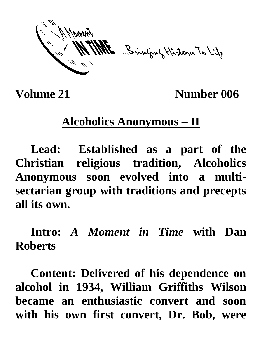ME Brinjany History To Life

**Volume 21** Number 006

## **Alcoholics Anonymous – II**

**Lead: Established as a part of the Christian religious tradition, Alcoholics Anonymous soon evolved into a multisectarian group with traditions and precepts all its own.**

**Intro:** *A Moment in Time* **with Dan Roberts**

**Content: Delivered of his dependence on alcohol in 1934, William Griffiths Wilson became an enthusiastic convert and soon with his own first convert, Dr. Bob, were**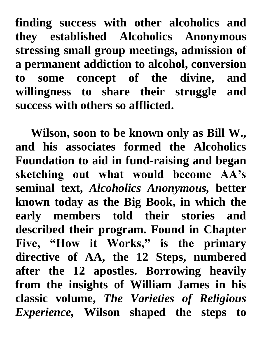**finding success with other alcoholics and they established Alcoholics Anonymous stressing small group meetings, admission of a permanent addiction to alcohol, conversion to some concept of the divine, and willingness to share their struggle and success with others so afflicted.**

**Wilson, soon to be known only as Bill W., and his associates formed the Alcoholics Foundation to aid in fund-raising and began sketching out what would become AA's seminal text,** *Alcoholics Anonymous,* **better known today as the Big Book, in which the early members told their stories and described their program. Found in Chapter Five, "How it Works," is the primary directive of AA, the 12 Steps, numbered after the 12 apostles. Borrowing heavily from the insights of William James in his classic volume,** *The Varieties of Religious Experience,* **Wilson shaped the steps to**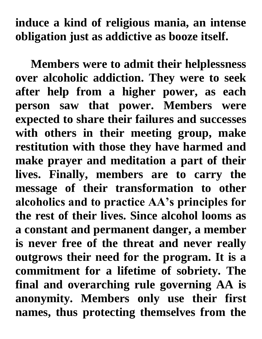## **induce a kind of religious mania, an intense obligation just as addictive as booze itself.**

**Members were to admit their helplessness over alcoholic addiction. They were to seek after help from a higher power, as each person saw that power. Members were expected to share their failures and successes with others in their meeting group, make restitution with those they have harmed and make prayer and meditation a part of their lives. Finally, members are to carry the message of their transformation to other alcoholics and to practice AA's principles for the rest of their lives. Since alcohol looms as a constant and permanent danger, a member is never free of the threat and never really outgrows their need for the program. It is a commitment for a lifetime of sobriety. The final and overarching rule governing AA is anonymity. Members only use their first names, thus protecting themselves from the**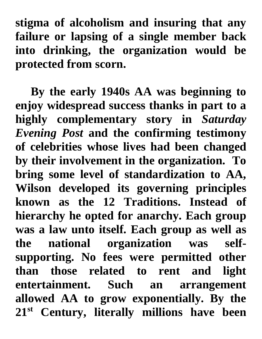**stigma of alcoholism and insuring that any failure or lapsing of a single member back into drinking, the organization would be protected from scorn.** 

**By the early 1940s AA was beginning to enjoy widespread success thanks in part to a highly complementary story in** *Saturday Evening Post* **and the confirming testimony of celebrities whose lives had been changed by their involvement in the organization. To bring some level of standardization to AA, Wilson developed its governing principles known as the 12 Traditions. Instead of hierarchy he opted for anarchy. Each group was a law unto itself. Each group as well as the national organization was selfsupporting. No fees were permitted other than those related to rent and light entertainment. Such an arrangement allowed AA to grow exponentially. By the 21st Century, literally millions have been**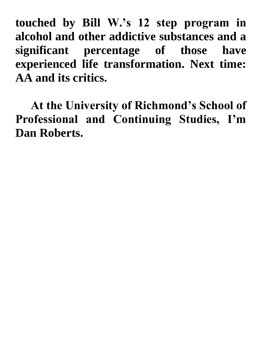**touched by Bill W.'s 12 step program in alcohol and other addictive substances and a significant percentage of those have experienced life transformation. Next time: AA and its critics.**

**At the University of Richmond's School of Professional and Continuing Studies, I'm Dan Roberts.**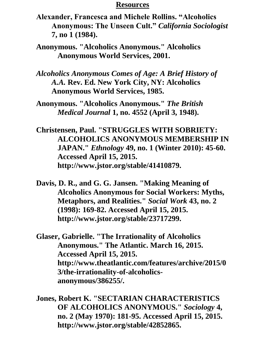## **Resources**

- **Alexander, Francesca and Michele Rollins. "Alcoholics Anonymous: The Unseen Cult."** *California Sociologist*  **7, no 1 (1984).**
- **Anonymous. "Alcoholics Anonymous." Alcoholics Anonymous World Services, 2001.**
- *Alcoholics Anonymous Comes of Age: A Brief History of A.A.* **Rev. Ed. New York City, NY: Alcoholics Anonymous World Services, 1985.**
- **Anonymous. "Alcoholics Anonymous."** *The British Medical Journal* **1, no. 4552 (April 3, 1948).**
- **Christensen, Paul. "STRUGGLES WITH SOBRIETY: ALCOHOLICS ANONYMOUS MEMBERSHIP IN JAPAN."** *Ethnology* **49, no. 1 (Winter 2010): 45-60. Accessed April 15, 2015. http://www.jstor.org/stable/41410879.**
- **Davis, D. R., and G. G. Jansen. "Making Meaning of Alcoholics Anonymous for Social Workers: Myths, Metaphors, and Realities."** *Social Work* **43, no. 2 (1998): 169-82. Accessed April 15, 2015. http://www.jstor.org/stable/23717299.**
- **Glaser, Gabrielle. "The Irrationality of Alcoholics Anonymous." The Atlantic. March 16, 2015. Accessed April 15, 2015. http://www.theatlantic.com/features/archive/2015/0 3/the-irrationality-of-alcoholicsanonymous/386255/.**
- **Jones, Robert K. "SECTARIAN CHARACTERISTICS OF ALCOHOLICS ANONYMOUS."** *Sociology* **4, no. 2 (May 1970): 181-95. Accessed April 15, 2015. http://www.jstor.org/stable/42852865.**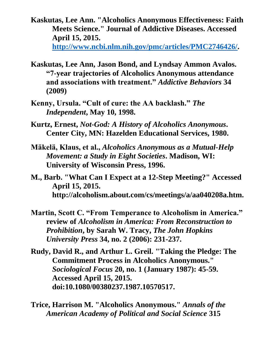- **Kaskutas, Lee Ann. "Alcoholics Anonymous Effectiveness: Faith Meets Science." Journal of Addictive Diseases. Accessed April 15, 2015. [http://www.ncbi.nlm.nih.gov/pmc/articles/PMC2746426/.](http://www.ncbi.nlm.nih.gov/pmc/articles/PMC2746426/)**
- **Kaskutas, Lee Ann, Jason Bond, and Lyndsay Ammon Avalos. "7-year trajectories of Alcoholics Anonymous attendance and associations with treatment."** *Addictive Behaviors* **34 (2009)**
- **Kenny, Ursula. "Cult of cure: the AA backlash."** *The Independent***, May 10, 1998.**
- **Kurtz, Ernest,** *Not-God: A History of Alcoholics Anonymous***. Center City, MN: Hazelden Educational Services, 1980.**
- **Mäkelä, Klaus, et al.,** *Alcoholics Anonymous as a Mutual-Help Movement: a Study in Eight Societies***. Madison, WI: University of Wisconsin Press, 1996.**
- **M., Barb. "What Can I Expect at a 12-Step Meeting?" Accessed April 15, 2015. http://alcoholism.about.com/cs/meetings/a/aa040208a.htm.**
- **Martin, Scott C. "From Temperance to Alcoholism in America." review of** *Alcoholism in America: From Reconstruction to Prohibition***, by Sarah W. Tracy,** *The John Hopkins University Press* **34, no. 2 (2006): 231-237.**
- **Rudy, David R., and Arthur L. Greil. "Taking the Pledge: The Commitment Process in Alcoholics Anonymous."**  *Sociological Focus* **20, no. 1 (January 1987): 45-59. Accessed April 15, 2015. doi:10.1080/00380237.1987.10570517.**
- **Trice, Harrison M. "Alcoholics Anonymous."** *Annals of the American Academy of Political and Social Science* **315**